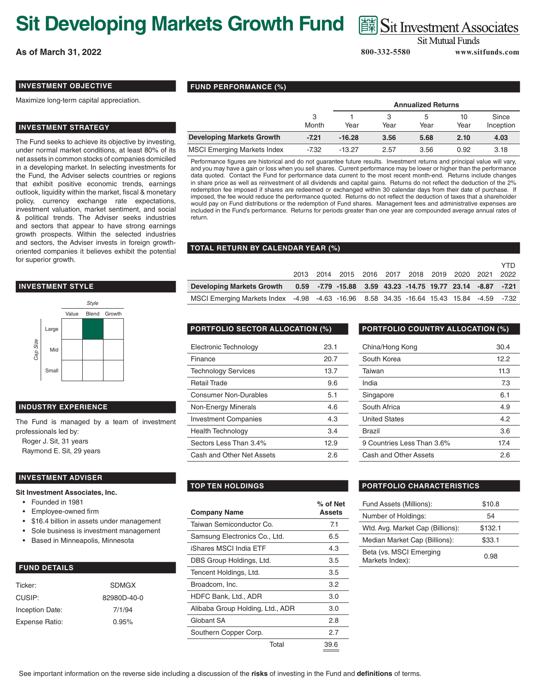# **Sit Developing Markets Growth Fund**

**As of March 31, 2022**

# Sit Investment Associates

**Sit Mutual Funds** 

 **800-332-5580 www.sitfunds.com**

**VTD** 

# **INVESTMENT OBJECTIVE**

Maximize long-term capital appreciation.

### **INVESTMENT STRATEGY**

The Fund seeks to achieve its objective by investing, under normal market conditions, at least 80% of its net assets in common stocks of companies domiciled in a developing market. In selecting investments for the Fund, the Adviser selects countries or regions that exhibit positive economic trends, earnings outlook, liquidity within the market, fiscal & monetary policy, currency exchange rate expectations, investment valuation, market sentiment, and social & political trends. The Adviser seeks industries and sectors that appear to have strong earnings growth prospects. Within the selected industries and sectors, the Adviser invests in foreign growthoriented companies it believes exhibit the potential for superior growth.

### **INVESTMENT STYLE**



## **INDUSTRY EXPERIENCE**

The Fund is managed by a team of investment professionals led by: Roger J. Sit, 31 years

Raymond E. Sit, 29 years

#### **INVESTMENT ADVISER**

#### **Sit Investment Associates, Inc.**

- Founded in 1981
- Employee-owned firm
- \$16.4 billion in assets under management
- Sole business is investment management
- Based in Minneapolis, Minnesota

## **FUND DETAILS**

| <b>SDMGX</b> |
|--------------|
| 82980D-40-0  |
| 7/1/94       |
| 0.95%        |
|              |

# **FUND PERFORMANCE (%)**

|                                    |            |          |      | <b>Annualized Returns</b> |            |                    |
|------------------------------------|------------|----------|------|---------------------------|------------|--------------------|
|                                    | 3<br>Month | Year     | Year | b<br>Year                 | 10<br>Year | Since<br>Inception |
| <b>Developing Markets Growth</b>   | $-7.21$    | $-16.28$ | 3.56 | 5.68                      | 2.10       | 4.03               |
| <b>MSCI Emerging Markets Index</b> | -7.32      | $-13.27$ | 2.57 | 3.56                      | 0.92       | 3.18               |

Performance figures are historical and do not guarantee future results. Investment returns and principal value will vary, and you may have a gain or loss when you sell shares. Current performance may be lower or higher than the performance data quoted. Contact the Fund for performance data current to the most recent month-end. Returns include changes in share price as well as reinvestment of all dividends and capital gains. Returns do not reflect the deduction of the 2% redemption fee imposed if shares are redeemed or exchanged within 30 calendar days from their date of purchase. If imposed, the fee would reduce the performance quoted. Returns do not reflect the deduction of taxes that a shareholder would pay on Fund distributions or the redemption of Fund shares. Management fees and administrative expenses are included in the Fund's performance. Returns for periods greater than one year are compounded average annual rates of return.

### **TOTAL RETURN BY CALENDAR YEAR (%)**

|                                                                                          |  | 2013 2014 2015 2016 2017 2018 2019 2020 2021 2022 |  |  |  | . |
|------------------------------------------------------------------------------------------|--|---------------------------------------------------|--|--|--|---|
| Developing Markets Growth 0.59 -7.79 -15.88 3.59 43.23 -14.75 19.77 23.14 -8.87 -7.21    |  |                                                   |  |  |  |   |
| MSCI Emerging Markets Index -4.98 -4.63 -16.96 8.58 34.35 -16.64 15.43 15.84 -4.59 -7.32 |  |                                                   |  |  |  |   |

| Electronic Technology        | 23.1 |
|------------------------------|------|
| Finance                      | 20.7 |
| <b>Technology Services</b>   | 13.7 |
| Retail Trade                 | 9.6  |
| <b>Consumer Non-Durables</b> | 5.1  |
| Non-Energy Minerals          | 4.6  |
| <b>Investment Companies</b>  | 4.3  |
| <b>Health Technology</b>     | 3.4  |
| Sectors Less Than 3.4%       | 12.9 |
| Cash and Other Net Assets    | 2.6  |

# **PORTFOLIO SECTOR ALLOCATION (%) PORTFOLIO COUNTRY ALLOCATION (%)**

| China/Hong Kong            | 30.4 |
|----------------------------|------|
| South Korea                | 12.2 |
| Taiwan                     | 11.3 |
| India                      | 7.3  |
| Singapore                  | 6.1  |
| South Africa               | 4.9  |
| <b>United States</b>       | 4.2  |
| <b>Brazil</b>              | 3.6  |
| 9 Countries Less Than 3.6% | 17.4 |
| Cash and Other Assets      | 2.6  |

| <b>Company Name</b>              |       | % of Net<br>Assets |
|----------------------------------|-------|--------------------|
| Taiwan Semiconductor Co.         |       | 7.1                |
| Samsung Electronics Co., Ltd.    |       | 6.5                |
| iShares MSCI India ETF           |       | 4.3                |
| DBS Group Holdings, Ltd.         |       | 3.5                |
| Tencent Holdings, Ltd.           |       | 3.5                |
| Broadcom, Inc.                   |       | 3.2                |
| HDFC Bank, Ltd., ADR             |       | 3.0                |
| Alibaba Group Holding, Ltd., ADR |       | 3.0                |
| Globant SA                       |       | 2.8                |
| Southern Copper Corp.            |       | 2.7                |
|                                  | Total | 39.6               |

# **TOP TEN HOLDINGS PORTFOLIO CHARACTERISTICS**

| Fund Assets (Millions):                    | \$10.8  |
|--------------------------------------------|---------|
| Number of Holdings:                        | 54      |
| Wtd. Avg. Market Cap (Billions):           | \$132.1 |
| Median Market Cap (Billions):              | \$33.1  |
| Beta (vs. MSCI Emerging<br>Markets Index): | 0.98    |